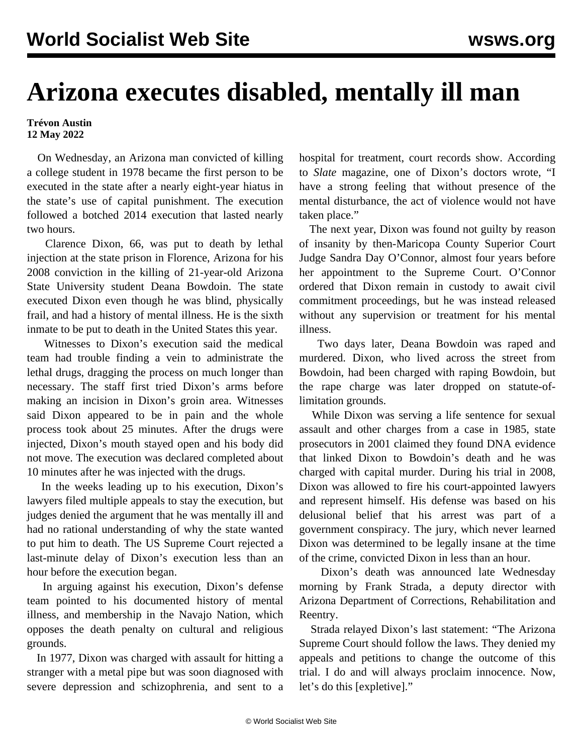## **Arizona executes disabled, mentally ill man**

**Trévon Austin 12 May 2022**

 On Wednesday, an Arizona man convicted of killing a college student in 1978 became the first person to be executed in the state after a nearly eight-year hiatus in the state's use of capital punishment. The execution followed a botched 2014 execution that lasted nearly two hours.

 Clarence Dixon, 66, was put to death by lethal injection at the state prison in Florence, Arizona for his 2008 conviction in the killing of 21-year-old Arizona State University student Deana Bowdoin. The state executed Dixon even though he was blind, physically frail, and had a history of mental illness. He is the sixth inmate to be put to death in the United States this year.

 Witnesses to Dixon's execution said the medical team had trouble finding a vein to administrate the lethal drugs, dragging the process on much longer than necessary. The staff first tried Dixon's arms before making an incision in Dixon's groin area. Witnesses said Dixon appeared to be in pain and the whole process took about 25 minutes. After the drugs were injected, Dixon's mouth stayed open and his body did not move. The execution was declared completed about 10 minutes after he was injected with the drugs.

 In the weeks leading up to his execution, Dixon's lawyers filed multiple appeals to stay the execution, but judges denied the argument that he was mentally ill and had no rational understanding of why the state wanted to put him to death. The US Supreme Court rejected a last-minute delay of Dixon's execution less than an hour before the execution began.

 In arguing against his execution, Dixon's defense team pointed to his documented history of mental illness, and membership in the Navajo Nation, which opposes the death penalty on cultural and religious grounds.

 In 1977, Dixon was charged with assault for hitting a stranger with a metal pipe but was soon diagnosed with severe depression and schizophrenia, and sent to a hospital for treatment, court records show. According to *Slate* magazine, one of Dixon's doctors wrote, "I have a strong feeling that without presence of the mental disturbance, the act of violence would not have taken place."

 The next year, Dixon was found not guilty by reason of insanity by then-Maricopa County Superior Court Judge Sandra Day O'Connor, almost four years before her appointment to the Supreme Court. O'Connor ordered that Dixon remain in custody to await civil commitment proceedings, but he was instead released without any supervision or treatment for his mental illness.

 Two days later, Deana Bowdoin was raped and murdered. Dixon, who lived across the street from Bowdoin, had been charged with raping Bowdoin, but the rape charge was later dropped on statute-oflimitation grounds.

 While Dixon was serving a life sentence for sexual assault and other charges from a case in 1985, state prosecutors in 2001 claimed they found DNA evidence that linked Dixon to Bowdoin's death and he was charged with capital murder. During his trial in 2008, Dixon was allowed to fire his court-appointed lawyers and represent himself. His defense was based on his delusional belief that his arrest was part of a government conspiracy. The jury, which never learned Dixon was determined to be legally insane at the time of the crime, convicted Dixon in less than an hour.

 Dixon's death was announced late Wednesday morning by Frank Strada, a deputy director with Arizona Department of Corrections, Rehabilitation and Reentry.

 Strada relayed Dixon's last statement: "The Arizona Supreme Court should follow the laws. They denied my appeals and petitions to change the outcome of this trial. I do and will always proclaim innocence. Now, let's do this [expletive]."